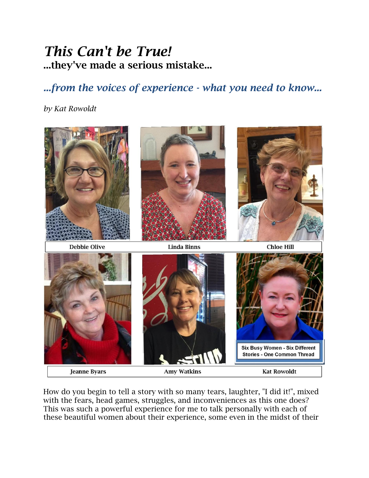## *This Can't be True!* **...they've made a serious mistake...**

## *...from the voices of experience - what you need to know...*

## *by Kat Rowoldt*



How do you begin to tell a story with so many tears, laughter, "I did it!", mixed with the fears, head games, struggles, and inconveniences as this one does? This was such a powerful experience for me to talk personally with each of these beautiful women about their experience, some even in the midst of their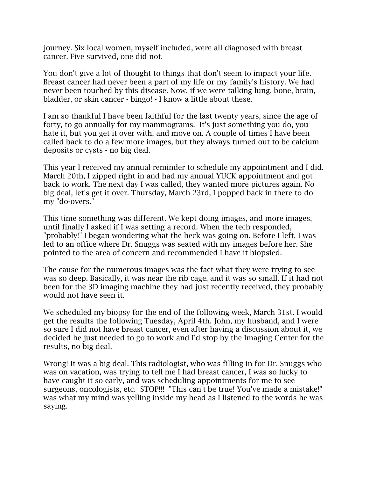journey. Six local women, myself included, were all diagnosed with breast cancer. Five survived, one did not.

You don't give a lot of thought to things that don't seem to impact your life. Breast cancer had never been a part of my life or my family's history. We had never been touched by this disease. Now, if we were talking lung, bone, brain, bladder, or skin cancer - bingo! - I know a little about these.

I am so thankful I have been faithful for the last twenty years, since the age of forty, to go annually for my mammograms. It's just something you do, you hate it, but you get it over with, and move on. A couple of times I have been called back to do a few more images, but they always turned out to be calcium deposits or cysts - no big deal.

This year I received my annual reminder to schedule my appointment and I did. March 20th, I zipped right in and had my annual YUCK appointment and got back to work. The next day I was called, they wanted more pictures again. No big deal, let's get it over. Thursday, March 23rd, I popped back in there to do my "do-overs."

This time something was different. We kept doing images, and more images, until finally I asked if I was setting a record. When the tech responded, "probably!" I began wondering what the heck was going on. Before I left, I was led to an office where Dr. Snuggs was seated with my images before her. She pointed to the area of concern and recommended I have it biopsied.

The cause for the numerous images was the fact what they were trying to see was so deep. Basically, it was near the rib cage, and it was so small. If it had not been for the 3D imaging machine they had just recently received, they probably would not have seen it.

We scheduled my biopsy for the end of the following week, March 31st. I would get the results the following Tuesday, April 4th. John, my husband, and I were so sure I did not have breast cancer, even after having a discussion about it, we decided he just needed to go to work and I'd stop by the Imaging Center for the results, no big deal.

Wrong! It was a big deal. This radiologist, who was filling in for Dr. Snuggs who was on vacation, was trying to tell me I had breast cancer, I was so lucky to have caught it so early, and was scheduling appointments for me to see surgeons, oncologists, etc. STOP!!! "This can't be true! You've made a mistake!" was what my mind was yelling inside my head as I listened to the words he was saying.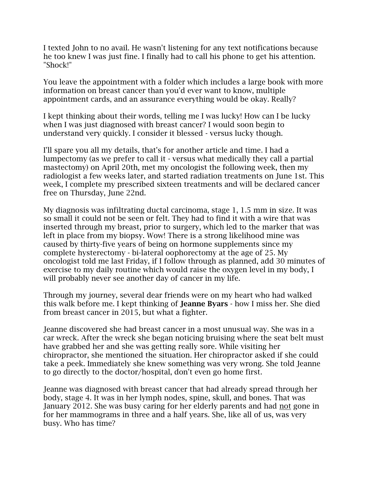I texted John to no avail. He wasn't listening for any text notifications because he too knew I was just fine. I finally had to call his phone to get his attention. "Shock!"

You leave the appointment with a folder which includes a large book with more information on breast cancer than you'd ever want to know, multiple appointment cards, and an assurance everything would be okay. Really?

I kept thinking about their words, telling me I was lucky! How can I be lucky when I was just diagnosed with breast cancer? I would soon begin to understand very quickly. I consider it blessed - versus lucky though.

I'll spare you all my details, that's for another article and time. I had a lumpectomy (as we prefer to call it - versus what medically they call a partial mastectomy) on April 20th, met my oncologist the following week, then my radiologist a few weeks later, and started radiation treatments on June 1st. This week, I complete my prescribed sixteen treatments and will be declared cancer free on Thursday, June 22nd.

My diagnosis was infiltrating ductal carcinoma, stage 1, 1.5 mm in size. It was so small it could not be seen or felt. They had to find it with a wire that was inserted through my breast, prior to surgery, which led to the marker that was left in place from my biopsy. Wow! There is a strong likelihood mine was caused by thirty-five years of being on hormone supplements since my complete hysterectomy - bi-lateral oophorectomy at the age of 25. My oncologist told me last Friday, if I follow through as planned, add 30 minutes of exercise to my daily routine which would raise the oxygen level in my body, I will probably never see another day of cancer in my life.

Through my journey, several dear friends were on my heart who had walked this walk before me. I kept thinking of **Jeanne Byars** - how I miss her. She died from breast cancer in 2015, but what a fighter.

Jeanne discovered she had breast cancer in a most unusual way. She was in a car wreck. After the wreck she began noticing bruising where the seat belt must have grabbed her and she was getting really sore. While visiting her chiropractor, she mentioned the situation. Her chiropractor asked if she could take a peek. Immediately she knew something was very wrong. She told Jeanne to go directly to the doctor/hospital, don't even go home first.

Jeanne was diagnosed with breast cancer that had already spread through her body, stage 4. It was in her lymph nodes, spine, skull, and bones. That was January 2012. She was busy caring for her elderly parents and had not gone in for her mammograms in three and a half years. She, like all of us, was very busy. Who has time?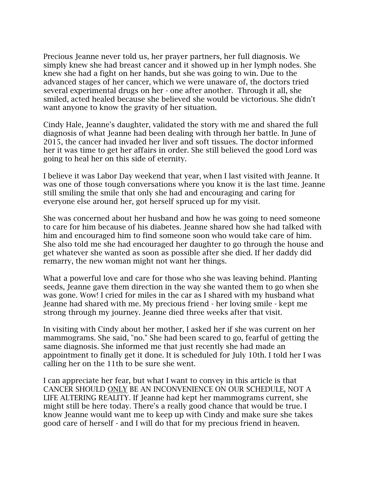Precious Jeanne never told us, her prayer partners, her full diagnosis. We simply knew she had breast cancer and it showed up in her lymph nodes. She knew she had a fight on her hands, but she was going to win. Due to the advanced stages of her cancer, which we were unaware of, the doctors tried several experimental drugs on her - one after another. Through it all, she smiled, acted healed because she believed she would be victorious. She didn't want anyone to know the gravity of her situation.

Cindy Hale, Jeanne's daughter, validated the story with me and shared the full diagnosis of what Jeanne had been dealing with through her battle. In June of 2015, the cancer had invaded her liver and soft tissues. The doctor informed her it was time to get her affairs in order. She still believed the good Lord was going to heal her on this side of eternity.

I believe it was Labor Day weekend that year, when I last visited with Jeanne. It was one of those tough conversations where you know it is the last time. Jeanne still smiling the smile that only she had and encouraging and caring for everyone else around her, got herself spruced up for my visit.

She was concerned about her husband and how he was going to need someone to care for him because of his diabetes. Jeanne shared how she had talked with him and encouraged him to find someone soon who would take care of him. She also told me she had encouraged her daughter to go through the house and get whatever she wanted as soon as possible after she died. If her daddy did remarry, the new woman might not want her things.

What a powerful love and care for those who she was leaving behind. Planting seeds, Jeanne gave them direction in the way she wanted them to go when she was gone. Wow! I cried for miles in the car as I shared with my husband what Jeanne had shared with me. My precious friend - her loving smile - kept me strong through my journey. Jeanne died three weeks after that visit.

In visiting with Cindy about her mother, I asked her if she was current on her mammograms. She said, "no." She had been scared to go, fearful of getting the same diagnosis. She informed me that just recently she had made an appointment to finally get it done. It is scheduled for July 10th. I told her I was calling her on the 11th to be sure she went.

I can appreciate her fear, but what I want to convey in this article is that CANCER SHOULD ONLY BE AN INCONVENIENCE ON OUR SCHEDULE, NOT A LIFE ALTERING REALITY. If Jeanne had kept her mammograms current, she might still be here today. There's a really good chance that would be true. I know Jeanne would want me to keep up with Cindy and make sure she takes good care of herself - and I will do that for my precious friend in heaven.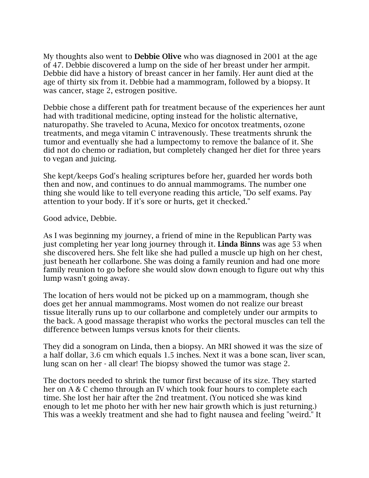My thoughts also went to **Debbie Olive** who was diagnosed in 2001 at the age of 47. Debbie discovered a lump on the side of her breast under her armpit. Debbie did have a history of breast cancer in her family. Her aunt died at the age of thirty six from it. Debbie had a mammogram, followed by a biopsy. It was cancer, stage 2, estrogen positive.

Debbie chose a different path for treatment because of the experiences her aunt had with traditional medicine, opting instead for the holistic alternative, naturopathy. She traveled to Acuna, Mexico for oncotox treatments, ozone treatments, and mega vitamin C intravenously. These treatments shrunk the tumor and eventually she had a lumpectomy to remove the balance of it. She did not do chemo or radiation, but completely changed her diet for three years to vegan and juicing.

She kept/keeps God's healing scriptures before her, guarded her words both then and now, and continues to do annual mammograms. The number one thing she would like to tell everyone reading this article, "Do self exams. Pay attention to your body. If it's sore or hurts, get it checked."

Good advice, Debbie.

As I was beginning my journey, a friend of mine in the Republican Party was just completing her year long journey through it. **Linda Binns** was age 53 when she discovered hers. She felt like she had pulled a muscle up high on her chest, just beneath her collarbone. She was doing a family reunion and had one more family reunion to go before she would slow down enough to figure out why this lump wasn't going away.

The location of hers would not be picked up on a mammogram, though she does get her annual mammograms. Most women do not realize our breast tissue literally runs up to our collarbone and completely under our armpits to the back. A good massage therapist who works the pectoral muscles can tell the difference between lumps versus knots for their clients.

They did a sonogram on Linda, then a biopsy. An MRI showed it was the size of a half dollar, 3.6 cm which equals 1.5 inches. Next it was a bone scan, liver scan, lung scan on her - all clear! The biopsy showed the tumor was stage 2.

The doctors needed to shrink the tumor first because of its size. They started her on A & C chemo through an IV which took four hours to complete each time. She lost her hair after the 2nd treatment. (You noticed she was kind enough to let me photo her with her new hair growth which is just returning.) This was a weekly treatment and she had to fight nausea and feeling "weird." It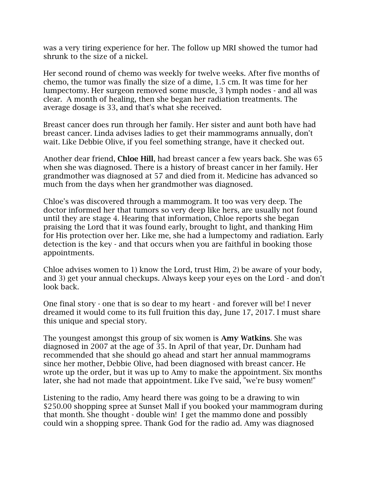was a very tiring experience for her. The follow up MRI showed the tumor had shrunk to the size of a nickel.

Her second round of chemo was weekly for twelve weeks. After five months of chemo, the tumor was finally the size of a dime, 1.5 cm. It was time for her lumpectomy. Her surgeon removed some muscle, 3 lymph nodes - and all was clear. A month of healing, then she began her radiation treatments. The average dosage is 33, and that's what she received.

Breast cancer does run through her family. Her sister and aunt both have had breast cancer. Linda advises ladies to get their mammograms annually, don't wait. Like Debbie Olive, if you feel something strange, have it checked out.

Another dear friend, **Chloe Hill**, had breast cancer a few years back. She was 65 when she was diagnosed. There is a history of breast cancer in her family. Her grandmother was diagnosed at 57 and died from it. Medicine has advanced so much from the days when her grandmother was diagnosed.

Chloe's was discovered through a mammogram. It too was very deep. The doctor informed her that tumors so very deep like hers, are usually not found until they are stage 4. Hearing that information, Chloe reports she began praising the Lord that it was found early, brought to light, and thanking Him for His protection over her. Like me, she had a lumpectomy and radiation. Early detection is the key - and that occurs when you are faithful in booking those appointments.

Chloe advises women to 1) know the Lord, trust Him, 2) be aware of your body, and 3) get your annual checkups. Always keep your eyes on the Lord - and don't look back.

One final story - one that is so dear to my heart - and forever will be! I never dreamed it would come to its full fruition this day, June 17, 2017. I must share this unique and special story.

The youngest amongst this group of six women is **Amy Watkins**. She was diagnosed in 2007 at the age of 35. In April of that year, Dr. Dunham had recommended that she should go ahead and start her annual mammograms since her mother, Debbie Olive, had been diagnosed with breast cancer. He wrote up the order, but it was up to Amy to make the appointment. Six months later, she had not made that appointment. Like I've said, "we're busy women!"

Listening to the radio, Amy heard there was going to be a drawing to win \$250.00 shopping spree at Sunset Mall if you booked your mammogram during that month. She thought - double win! I get the mammo done and possibly could win a shopping spree. Thank God for the radio ad. Amy was diagnosed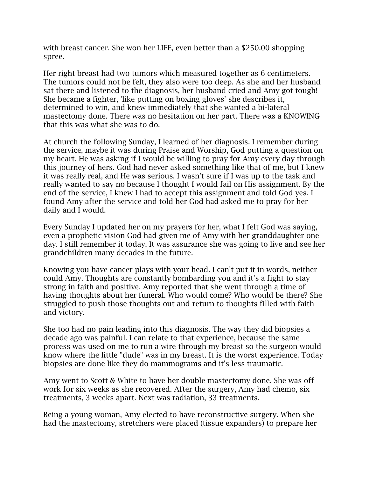with breast cancer. She won her LIFE, even better than a \$250.00 shopping spree.

Her right breast had two tumors which measured together as 6 centimeters. The tumors could not be felt, they also were too deep. As she and her husband sat there and listened to the diagnosis, her husband cried and Amy got tough! She became a fighter, 'like putting on boxing gloves' she describes it, determined to win, and knew immediately that she wanted a bi-lateral mastectomy done. There was no hesitation on her part. There was a KNOWING that this was what she was to do.

At church the following Sunday, I learned of her diagnosis. I remember during the service, maybe it was during Praise and Worship, God putting a question on my heart. He was asking if I would be willing to pray for Amy every day through this journey of hers. God had never asked something like that of me, but I knew it was really real, and He was serious. I wasn't sure if I was up to the task and really wanted to say no because I thought I would fail on His assignment. By the end of the service, I knew I had to accept this assignment and told God yes. I found Amy after the service and told her God had asked me to pray for her daily and I would.

Every Sunday I updated her on my prayers for her, what I felt God was saying, even a prophetic vision God had given me of Amy with her granddaughter one day. I still remember it today. It was assurance she was going to live and see her grandchildren many decades in the future.

Knowing you have cancer plays with your head. I can't put it in words, neither could Amy. Thoughts are constantly bombarding you and it's a fight to stay strong in faith and positive. Amy reported that she went through a time of having thoughts about her funeral. Who would come? Who would be there? She struggled to push those thoughts out and return to thoughts filled with faith and victory.

She too had no pain leading into this diagnosis. The way they did biopsies a decade ago was painful. I can relate to that experience, because the same process was used on me to run a wire through my breast so the surgeon would know where the little "dude" was in my breast. It is the worst experience. Today biopsies are done like they do mammograms and it's less traumatic.

Amy went to Scott & White to have her double mastectomy done. She was off work for six weeks as she recovered. After the surgery, Amy had chemo, six treatments, 3 weeks apart. Next was radiation, 33 treatments.

Being a young woman, Amy elected to have reconstructive surgery. When she had the mastectomy, stretchers were placed (tissue expanders) to prepare her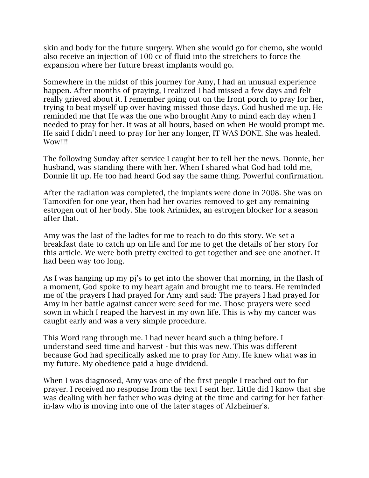skin and body for the future surgery. When she would go for chemo, she would also receive an injection of 100 cc of fluid into the stretchers to force the expansion where her future breast implants would go.

Somewhere in the midst of this journey for Amy, I had an unusual experience happen. After months of praying, I realized I had missed a few days and felt really grieved about it. I remember going out on the front porch to pray for her, trying to beat myself up over having missed those days. God hushed me up. He reminded me that He was the one who brought Amy to mind each day when I needed to pray for her. It was at all hours, based on when He would prompt me. He said I didn't need to pray for her any longer, IT WAS DONE. She was healed. Wow!!!!

The following Sunday after service I caught her to tell her the news. Donnie, her husband, was standing there with her. When I shared what God had told me, Donnie lit up. He too had heard God say the same thing. Powerful confirmation.

After the radiation was completed, the implants were done in 2008. She was on Tamoxifen for one year, then had her ovaries removed to get any remaining estrogen out of her body. She took Arimidex, an estrogen blocker for a season after that.

Amy was the last of the ladies for me to reach to do this story. We set a breakfast date to catch up on life and for me to get the details of her story for this article. We were both pretty excited to get together and see one another. It had been way too long.

As I was hanging up my pj's to get into the shower that morning, in the flash of a moment, God spoke to my heart again and brought me to tears. He reminded me of the prayers I had prayed for Amy and said: The prayers I had prayed for Amy in her battle against cancer were seed for me. Those prayers were seed sown in which I reaped the harvest in my own life. This is why my cancer was caught early and was a very simple procedure.

This Word rang through me. I had never heard such a thing before. I understand seed time and harvest - but this was new. This was different because God had specifically asked me to pray for Amy. He knew what was in my future. My obedience paid a huge dividend.

When I was diagnosed, Amy was one of the first people I reached out to for prayer. I received no response from the text I sent her. Little did I know that she was dealing with her father who was dying at the time and caring for her fatherin-law who is moving into one of the later stages of Alzheimer's.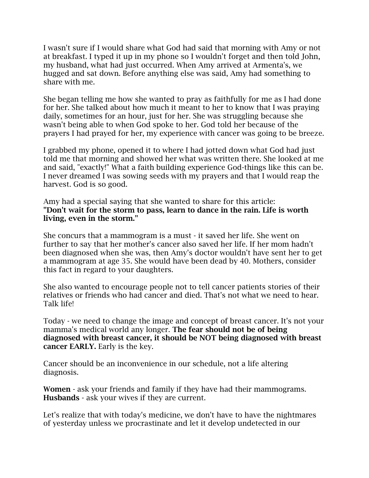I wasn't sure if I would share what God had said that morning with Amy or not at breakfast. I typed it up in my phone so I wouldn't forget and then told John, my husband, what had just occurred. When Amy arrived at Armenta's, we hugged and sat down. Before anything else was said, Amy had something to share with me.

She began telling me how she wanted to pray as faithfully for me as I had done for her. She talked about how much it meant to her to know that I was praying daily, sometimes for an hour, just for her. She was struggling because she wasn't being able to when God spoke to her. God told her because of the prayers I had prayed for her, my experience with cancer was going to be breeze.

I grabbed my phone, opened it to where I had jotted down what God had just told me that morning and showed her what was written there. She looked at me and said, "exactly!" What a faith building experience God-things like this can be. I never dreamed I was sowing seeds with my prayers and that I would reap the harvest. God is so good.

Amy had a special saying that she wanted to share for this article: **"Don't wait for the storm to pass, learn to dance in the rain. Life is worth living, even in the storm."** 

She concurs that a mammogram is a must - it saved her life. She went on further to say that her mother's cancer also saved her life. If her mom hadn't been diagnosed when she was, then Amy's doctor wouldn't have sent her to get a mammogram at age 35. She would have been dead by 40. Mothers, consider this fact in regard to your daughters.

She also wanted to encourage people not to tell cancer patients stories of their relatives or friends who had cancer and died. That's not what we need to hear. Talk life!

Today - we need to change the image and concept of breast cancer. It's not your mamma's medical world any longer. **The fear should not be of being diagnosed with breast cancer, it should be NOT being diagnosed with breast cancer EARLY.** Early is the key.

Cancer should be an inconvenience in our schedule, not a life altering diagnosis.

**Women** - ask your friends and family if they have had their mammograms. **Husbands** - ask your wives if they are current.

Let's realize that with today's medicine, we don't have to have the nightmares of yesterday unless we procrastinate and let it develop undetected in our